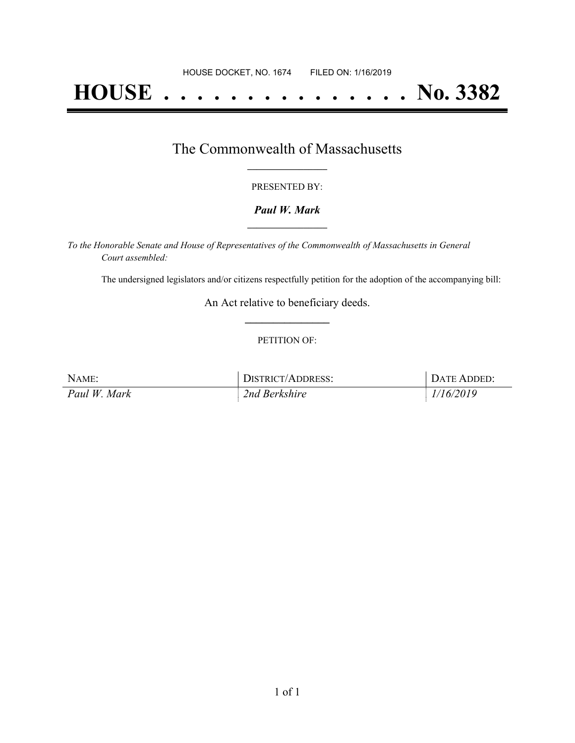# **HOUSE . . . . . . . . . . . . . . . No. 3382**

## The Commonwealth of Massachusetts **\_\_\_\_\_\_\_\_\_\_\_\_\_\_\_\_\_**

#### PRESENTED BY:

#### *Paul W. Mark* **\_\_\_\_\_\_\_\_\_\_\_\_\_\_\_\_\_**

*To the Honorable Senate and House of Representatives of the Commonwealth of Massachusetts in General Court assembled:*

The undersigned legislators and/or citizens respectfully petition for the adoption of the accompanying bill:

An Act relative to beneficiary deeds. **\_\_\_\_\_\_\_\_\_\_\_\_\_\_\_**

#### PETITION OF:

| NAME:        | DISTRICT/ADDRESS: | DATE ADDED: |
|--------------|-------------------|-------------|
| Paul W. Mark | 2nd Berkshire     | 1/16/2019   |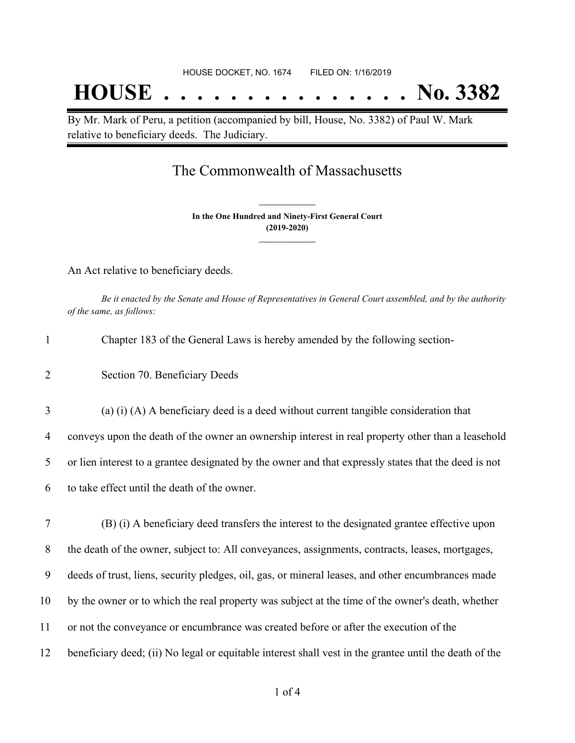## **HOUSE . . . . . . . . . . . . . . . No. 3382**

By Mr. Mark of Peru, a petition (accompanied by bill, House, No. 3382) of Paul W. Mark relative to beneficiary deeds. The Judiciary.

## The Commonwealth of Massachusetts

**In the One Hundred and Ninety-First General Court (2019-2020) \_\_\_\_\_\_\_\_\_\_\_\_\_\_\_**

**\_\_\_\_\_\_\_\_\_\_\_\_\_\_\_**

An Act relative to beneficiary deeds.

Be it enacted by the Senate and House of Representatives in General Court assembled, and by the authority *of the same, as follows:*

| $\mathbf{1}$   | Chapter 183 of the General Laws is hereby amended by the following section-                          |
|----------------|------------------------------------------------------------------------------------------------------|
| $\overline{2}$ | Section 70. Beneficiary Deeds                                                                        |
| 3              | (a) (i) (A) A beneficiary deed is a deed without current tangible consideration that                 |
| $\overline{4}$ | conveys upon the death of the owner an ownership interest in real property other than a leasehold    |
| 5              | or lien interest to a grantee designated by the owner and that expressly states that the deed is not |
| 6              | to take effect until the death of the owner.                                                         |
| 7              | (B) (i) A beneficiary deed transfers the interest to the designated grantee effective upon           |
| 8              | the death of the owner, subject to: All conveyances, assignments, contracts, leases, mortgages,      |
| 9              | deeds of trust, liens, security pledges, oil, gas, or mineral leases, and other encumbrances made    |
| 10             | by the owner or to which the real property was subject at the time of the owner's death, whether     |
| 11             | or not the conveyance or encumbrance was created before or after the execution of the                |

12 beneficiary deed; (ii) No legal or equitable interest shall vest in the grantee until the death of the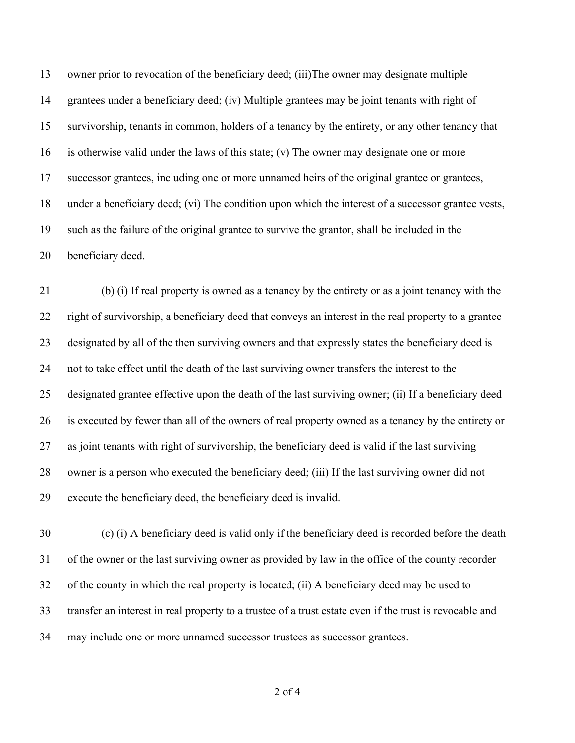owner prior to revocation of the beneficiary deed; (iii)The owner may designate multiple grantees under a beneficiary deed; (iv) Multiple grantees may be joint tenants with right of survivorship, tenants in common, holders of a tenancy by the entirety, or any other tenancy that is otherwise valid under the laws of this state; (v) The owner may designate one or more successor grantees, including one or more unnamed heirs of the original grantee or grantees, under a beneficiary deed; (vi) The condition upon which the interest of a successor grantee vests, such as the failure of the original grantee to survive the grantor, shall be included in the beneficiary deed.

 (b) (i) If real property is owned as a tenancy by the entirety or as a joint tenancy with the right of survivorship, a beneficiary deed that conveys an interest in the real property to a grantee designated by all of the then surviving owners and that expressly states the beneficiary deed is not to take effect until the death of the last surviving owner transfers the interest to the designated grantee effective upon the death of the last surviving owner; (ii) If a beneficiary deed is executed by fewer than all of the owners of real property owned as a tenancy by the entirety or as joint tenants with right of survivorship, the beneficiary deed is valid if the last surviving owner is a person who executed the beneficiary deed; (iii) If the last surviving owner did not execute the beneficiary deed, the beneficiary deed is invalid.

 (c) (i) A beneficiary deed is valid only if the beneficiary deed is recorded before the death of the owner or the last surviving owner as provided by law in the office of the county recorder of the county in which the real property is located; (ii) A beneficiary deed may be used to transfer an interest in real property to a trustee of a trust estate even if the trust is revocable and may include one or more unnamed successor trustees as successor grantees.

of 4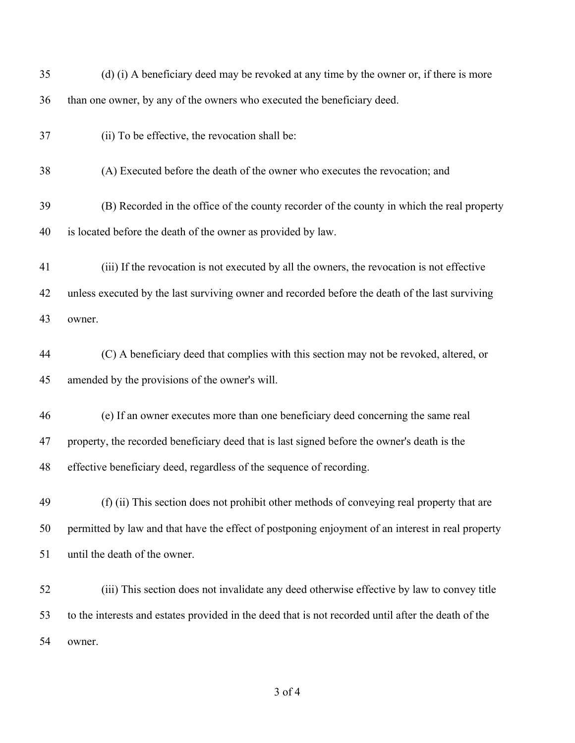| 35 | (d) (i) A beneficiary deed may be revoked at any time by the owner or, if there is more             |
|----|-----------------------------------------------------------------------------------------------------|
| 36 | than one owner, by any of the owners who executed the beneficiary deed.                             |
| 37 | (ii) To be effective, the revocation shall be:                                                      |
| 38 | (A) Executed before the death of the owner who executes the revocation; and                         |
| 39 | (B) Recorded in the office of the county recorder of the county in which the real property          |
| 40 | is located before the death of the owner as provided by law.                                        |
| 41 | (iii) If the revocation is not executed by all the owners, the revocation is not effective          |
| 42 | unless executed by the last surviving owner and recorded before the death of the last surviving     |
| 43 | owner.                                                                                              |
| 44 | (C) A beneficiary deed that complies with this section may not be revoked, altered, or              |
| 45 | amended by the provisions of the owner's will.                                                      |
| 46 | (e) If an owner executes more than one beneficiary deed concerning the same real                    |
| 47 | property, the recorded beneficiary deed that is last signed before the owner's death is the         |
| 48 | effective beneficiary deed, regardless of the sequence of recording.                                |
| 49 | (f) (ii) This section does not prohibit other methods of conveying real property that are           |
| 50 | permitted by law and that have the effect of postponing enjoyment of an interest in real property   |
| 51 | until the death of the owner.                                                                       |
| 52 | (iii) This section does not invalidate any deed otherwise effective by law to convey title          |
| 53 | to the interests and estates provided in the deed that is not recorded until after the death of the |
| 54 | owner.                                                                                              |
|    |                                                                                                     |